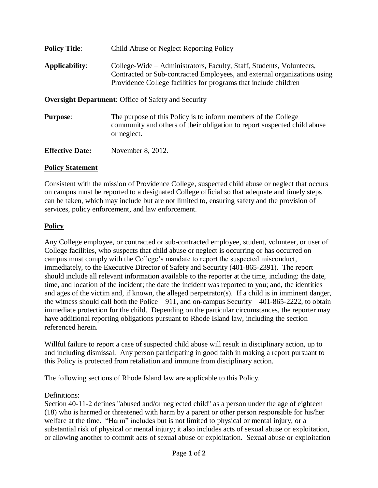| <b>Policy Title:</b>                                       | Child Abuse or Neglect Reporting Policy                                                                                                                                                                              |
|------------------------------------------------------------|----------------------------------------------------------------------------------------------------------------------------------------------------------------------------------------------------------------------|
| Applicability:                                             | College-Wide – Administrators, Faculty, Staff, Students, Volunteers,<br>Contracted or Sub-contracted Employees, and external organizations using<br>Providence College facilities for programs that include children |
| <b>Oversight Department:</b> Office of Safety and Security |                                                                                                                                                                                                                      |
| <b>Purpose:</b>                                            | The purpose of this Policy is to inform members of the College<br>community and others of their obligation to report suspected child abuse<br>or neglect.                                                            |
| <b>Effective Date:</b>                                     | November 8, 2012.                                                                                                                                                                                                    |

## **Policy Statement**

Consistent with the mission of Providence College, suspected child abuse or neglect that occurs on campus must be reported to a designated College official so that adequate and timely steps can be taken, which may include but are not limited to, ensuring safety and the provision of services, policy enforcement, and law enforcement.

## **Policy**

Any College employee, or contracted or sub-contracted employee, student, volunteer, or user of College facilities, who suspects that child abuse or neglect is occurring or has occurred on campus must comply with the College's mandate to report the suspected misconduct, immediately, to the Executive Director of Safety and Security (401-865-2391). The report should include all relevant information available to the reporter at the time, including: the date, time, and location of the incident; the date the incident was reported to you; and, the identities and ages of the victim and, if known, the alleged perpetrator(s). If a child is in imminent danger, the witness should call both the Police  $-911$ , and on-campus Security  $-401-865-2222$ , to obtain immediate protection for the child. Depending on the particular circumstances, the reporter may have additional reporting obligations pursuant to Rhode Island law, including the section referenced herein.

Willful failure to report a case of suspected child abuse will result in disciplinary action, up to and including dismissal. Any person participating in good faith in making a report pursuant to this Policy is protected from retaliation and immune from disciplinary action.

The following sections of Rhode Island law are applicable to this Policy.

## Definitions:

Section 40-11-2 defines "abused and/or neglected child" as a person under the age of eighteen (18) who is harmed or threatened with harm by a parent or other person responsible for his/her welfare at the time. "Harm" includes but is not limited to physical or mental injury, or a substantial risk of physical or mental injury; it also includes acts of sexual abuse or exploitation, or allowing another to commit acts of sexual abuse or exploitation. Sexual abuse or exploitation